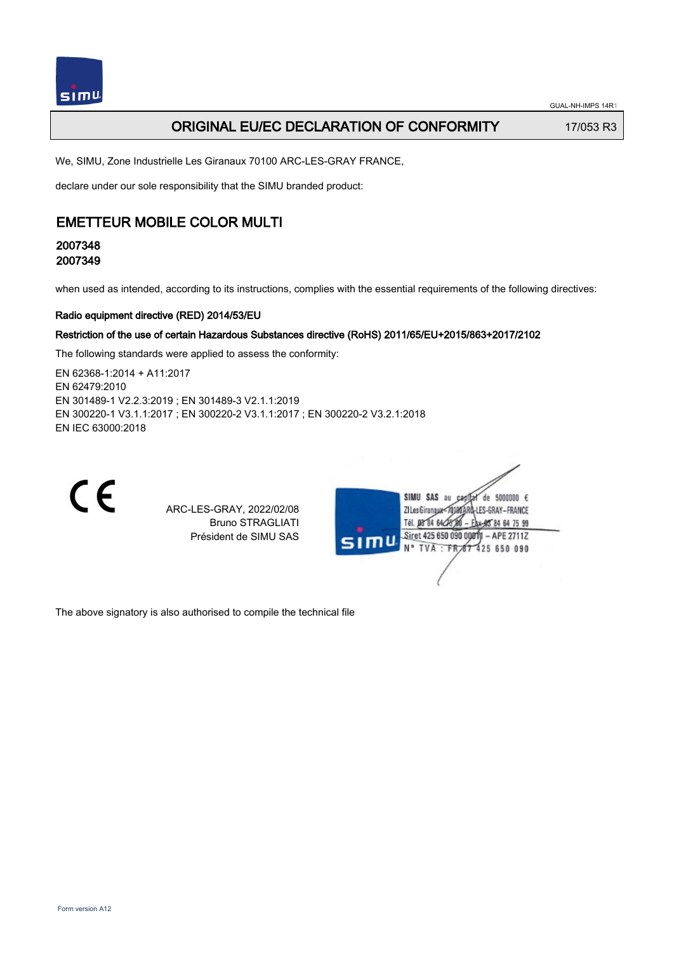## **ORIGINAL EU/EC DECLARATION OF CONFORMITY** 17/053 R3

We, SIMU, Zone Industrielle Les Giranaux 70100 ARC-LES-GRAY FRANCE,

declare under our sole responsibility that the SIMU branded product:

# EMETTEUR MOBILE COLOR MULTI

## 2007348 2007349

when used as intended, according to its instructions, complies with the essential requirements of the following directives:

#### Radio equipment directive (RED) 2014/53/EU

#### Restriction of the use of certain Hazardous Substances directive (RoHS) 2011/65/EU+2015/863+2017/2102

The following standards were applied to assess the conformity:

EN 62368‑1:2014 + A11:2017 EN 62479:2010 EN 301489‑1 V2.2.3:2019 ; EN 301489‑3 V2.1.1:2019 EN 300220‑1 V3.1.1:2017 ; EN 300220‑2 V3.1.1:2017 ; EN 300220‑2 V3.2.1:2018 EN IEC 63000:2018



ARC-LES-GRAY, 2022/02/08 Bruno STRAGLIATI Président de SIMU SAS



The above signatory is also authorised to compile the technical file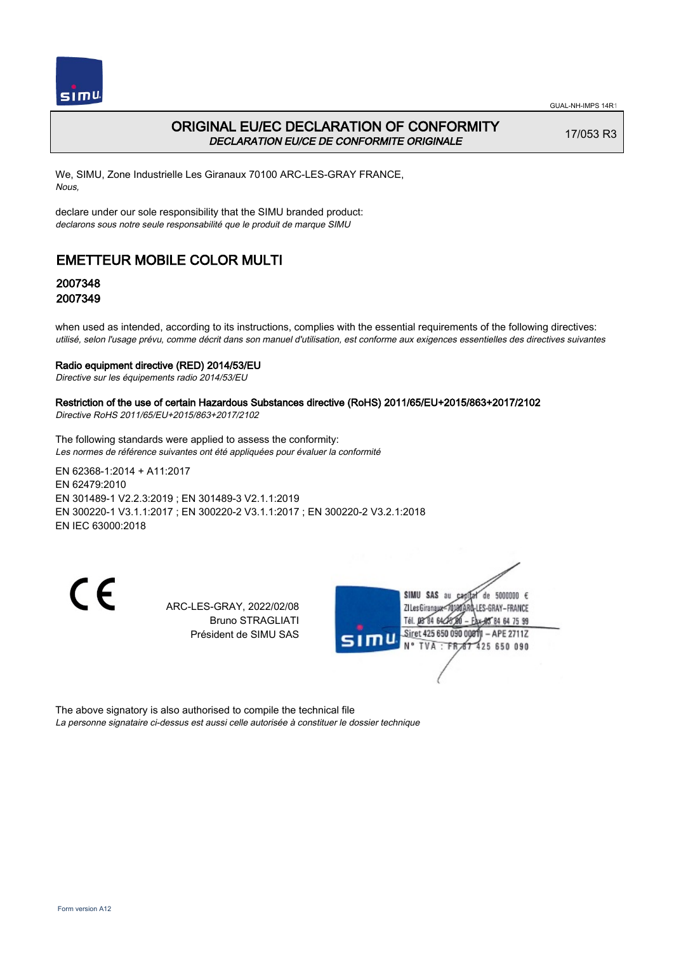

# ORIGINAL EU/EC DECLARATION OF CONFORMITY DECLARATION EU/CE DE CONFORMITE ORIGINALE

17/053 R3

We, SIMU, Zone Industrielle Les Giranaux 70100 ARC-LES-GRAY FRANCE, Nous,

declare under our sole responsibility that the SIMU branded product: declarons sous notre seule responsabilité que le produit de marque SIMU

# EMETTEUR MOBILE COLOR MULTI

## 2007348 2007349

when used as intended, according to its instructions, complies with the essential requirements of the following directives: utilisé, selon l'usage prévu, comme décrit dans son manuel d'utilisation, est conforme aux exigences essentielles des directives suivantes

#### Radio equipment directive (RED) 2014/53/EU

Directive sur les équipements radio 2014/53/EU

### Restriction of the use of certain Hazardous Substances directive (RoHS) 2011/65/EU+2015/863+2017/2102

Directive RoHS 2011/65/EU+2015/863+2017/2102

The following standards were applied to assess the conformity: Les normes de référence suivantes ont été appliquées pour évaluer la conformité

EN 62368‑1:2014 + A11:2017 EN 62479:2010 EN 301489‑1 V2.2.3:2019 ; EN 301489‑3 V2.1.1:2019 EN 300220‑1 V3.1.1:2017 ; EN 300220‑2 V3.1.1:2017 ; EN 300220‑2 V3.2.1:2018 EN IEC 63000:2018

CE

ARC-LES-GRAY, 2022/02/08 Bruno STRAGLIATI Président de SIMU SAS



The above signatory is also authorised to compile the technical file La personne signataire ci-dessus est aussi celle autorisée à constituer le dossier technique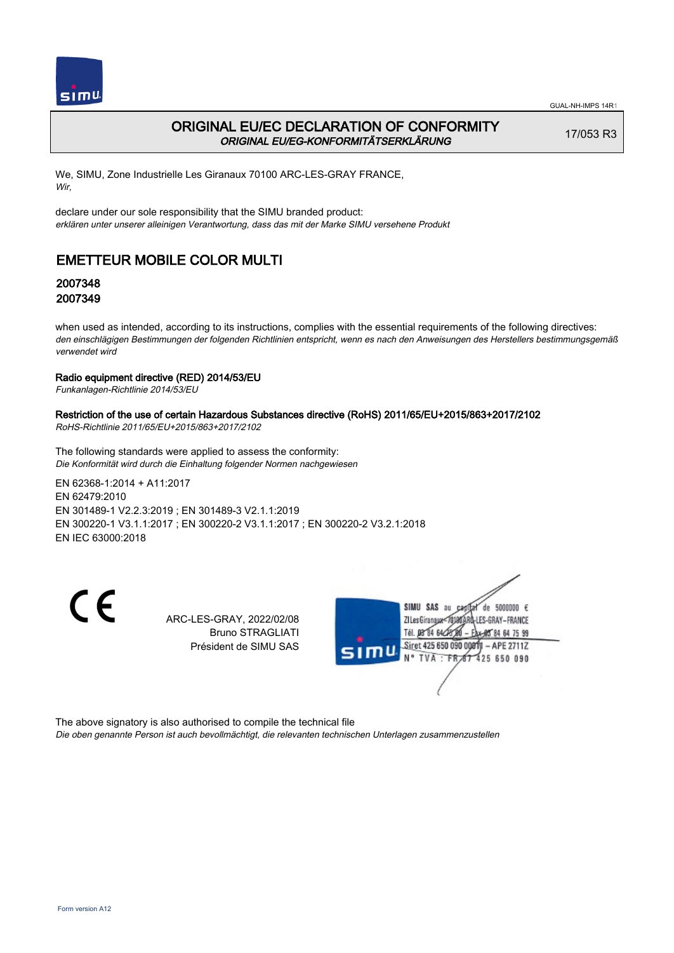

## ORIGINAL EU/EC DECLARATION OF CONFORMITY ORIGINAL EU/EG-KONFORMITÄTSERKLÄRUNG

17/053 R3

We, SIMU, Zone Industrielle Les Giranaux 70100 ARC-LES-GRAY FRANCE, Wir,

declare under our sole responsibility that the SIMU branded product: erklären unter unserer alleinigen Verantwortung, dass das mit der Marke SIMU versehene Produkt

# EMETTEUR MOBILE COLOR MULTI

## 2007348 2007349

when used as intended, according to its instructions, complies with the essential requirements of the following directives: den einschlägigen Bestimmungen der folgenden Richtlinien entspricht, wenn es nach den Anweisungen des Herstellers bestimmungsgemäß verwendet wird

### Radio equipment directive (RED) 2014/53/EU

Funkanlagen-Richtlinie 2014/53/EU

### Restriction of the use of certain Hazardous Substances directive (RoHS) 2011/65/EU+2015/863+2017/2102

RoHS-Richtlinie 2011/65/EU+2015/863+2017/2102

The following standards were applied to assess the conformity: Die Konformität wird durch die Einhaltung folgender Normen nachgewiesen

EN 62368‑1:2014 + A11:2017 EN 62479:2010 EN 301489‑1 V2.2.3:2019 ; EN 301489‑3 V2.1.1:2019 EN 300220‑1 V3.1.1:2017 ; EN 300220‑2 V3.1.1:2017 ; EN 300220‑2 V3.2.1:2018 EN IEC 63000:2018

 $\epsilon$ 

ARC-LES-GRAY, 2022/02/08 Bruno STRAGLIATI Président de SIMU SAS



The above signatory is also authorised to compile the technical file

Die oben genannte Person ist auch bevollmächtigt, die relevanten technischen Unterlagen zusammenzustellen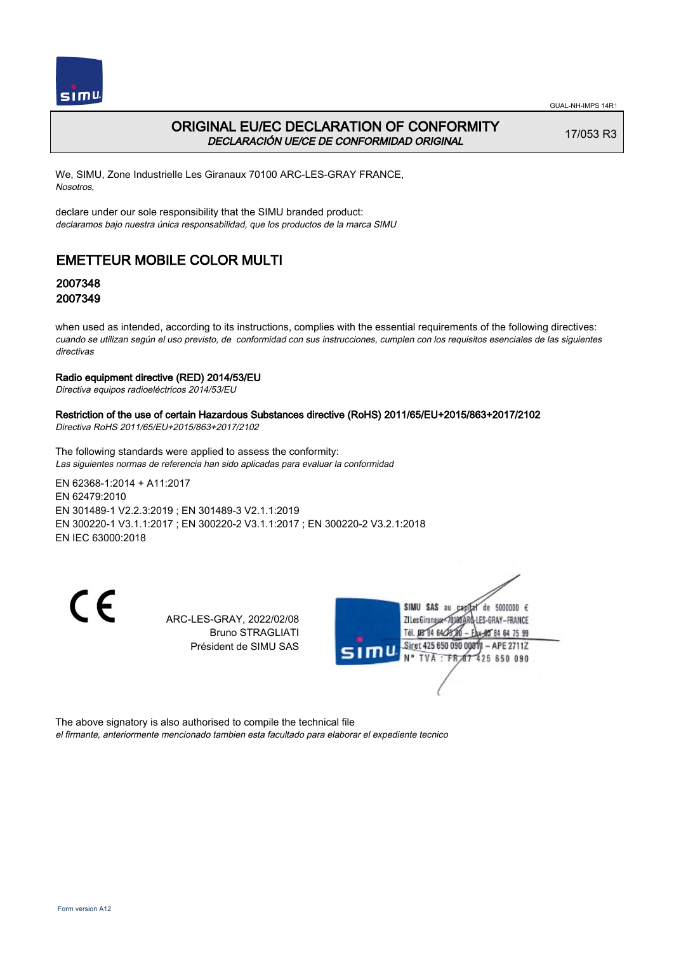

## ORIGINAL EU/EC DECLARATION OF CONFORMITY DECLARACIÓN UE/CE DE CONFORMIDAD ORIGINAL

17/053 R3

We, SIMU, Zone Industrielle Les Giranaux 70100 ARC-LES-GRAY FRANCE, Nosotros,

declare under our sole responsibility that the SIMU branded product: declaramos bajo nuestra única responsabilidad, que los productos de la marca SIMU

# EMETTEUR MOBILE COLOR MULTI

## 2007348 2007349

when used as intended, according to its instructions, complies with the essential requirements of the following directives: cuando se utilizan según el uso previsto, de conformidad con sus instrucciones, cumplen con los requisitos esenciales de las siguientes directivas

### Radio equipment directive (RED) 2014/53/EU

Directiva equipos radioeléctricos 2014/53/EU

### Restriction of the use of certain Hazardous Substances directive (RoHS) 2011/65/EU+2015/863+2017/2102

Directiva RoHS 2011/65/EU+2015/863+2017/2102

The following standards were applied to assess the conformity: Las siguientes normas de referencia han sido aplicadas para evaluar la conformidad

EN 62368‑1:2014 + A11:2017 EN 62479:2010 EN 301489‑1 V2.2.3:2019 ; EN 301489‑3 V2.1.1:2019 EN 300220‑1 V3.1.1:2017 ; EN 300220‑2 V3.1.1:2017 ; EN 300220‑2 V3.2.1:2018 EN IEC 63000:2018

 $\epsilon$ 

ARC-LES-GRAY, 2022/02/08 Bruno STRAGLIATI Président de SIMU SAS



The above signatory is also authorised to compile the technical file

el firmante, anteriormente mencionado tambien esta facultado para elaborar el expediente tecnico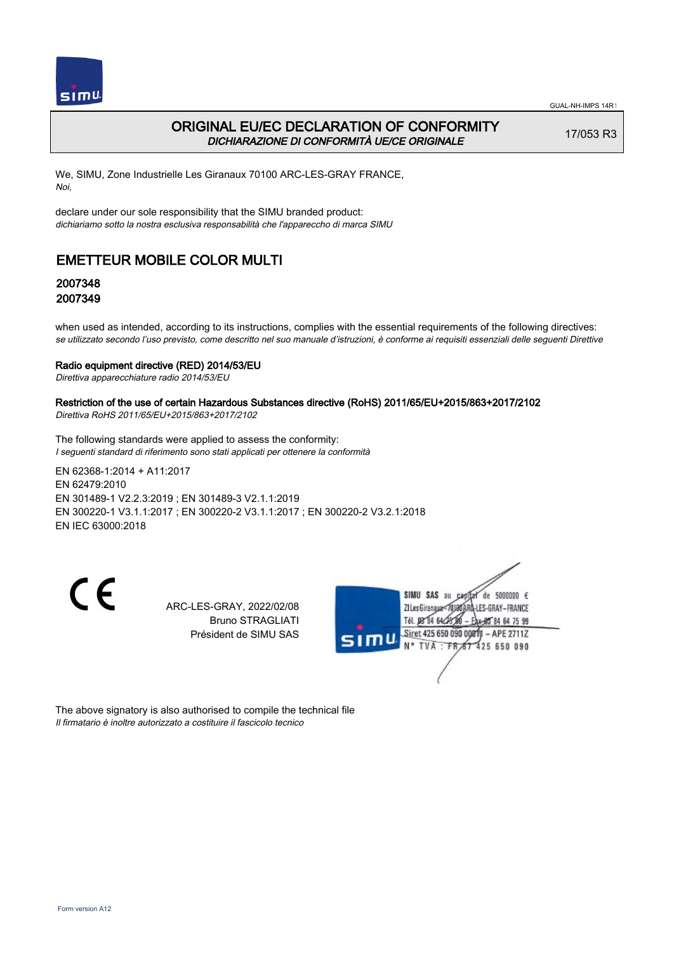

## ORIGINAL EU/EC DECLARATION OF CONFORMITY DICHIARAZIONE DI CONFORMITÀ UE/CE ORIGINALE

17/053 R3

We, SIMU, Zone Industrielle Les Giranaux 70100 ARC-LES-GRAY FRANCE, Noi,

declare under our sole responsibility that the SIMU branded product: dichiariamo sotto la nostra esclusiva responsabilità che l'appareccho di marca SIMU

# EMETTEUR MOBILE COLOR MULTI

## 2007348 2007349

when used as intended, according to its instructions, complies with the essential requirements of the following directives: se utilizzato secondo l'uso previsto, come descritto nel suo manuale d'istruzioni, è conforme ai requisiti essenziali delle seguenti Direttive

#### Radio equipment directive (RED) 2014/53/EU

Direttiva apparecchiature radio 2014/53/EU

### Restriction of the use of certain Hazardous Substances directive (RoHS) 2011/65/EU+2015/863+2017/2102

Direttiva RoHS 2011/65/EU+2015/863+2017/2102

The following standards were applied to assess the conformity: I seguenti standard di riferimento sono stati applicati per ottenere la conformità

EN 62368‑1:2014 + A11:2017 EN 62479:2010 EN 301489‑1 V2.2.3:2019 ; EN 301489‑3 V2.1.1:2019 EN 300220‑1 V3.1.1:2017 ; EN 300220‑2 V3.1.1:2017 ; EN 300220‑2 V3.2.1:2018 EN IEC 63000:2018

CE

ARC-LES-GRAY, 2022/02/08 Bruno STRAGLIATI Président de SIMU SAS



The above signatory is also authorised to compile the technical file Il firmatario è inoltre autorizzato a costituire il fascicolo tecnico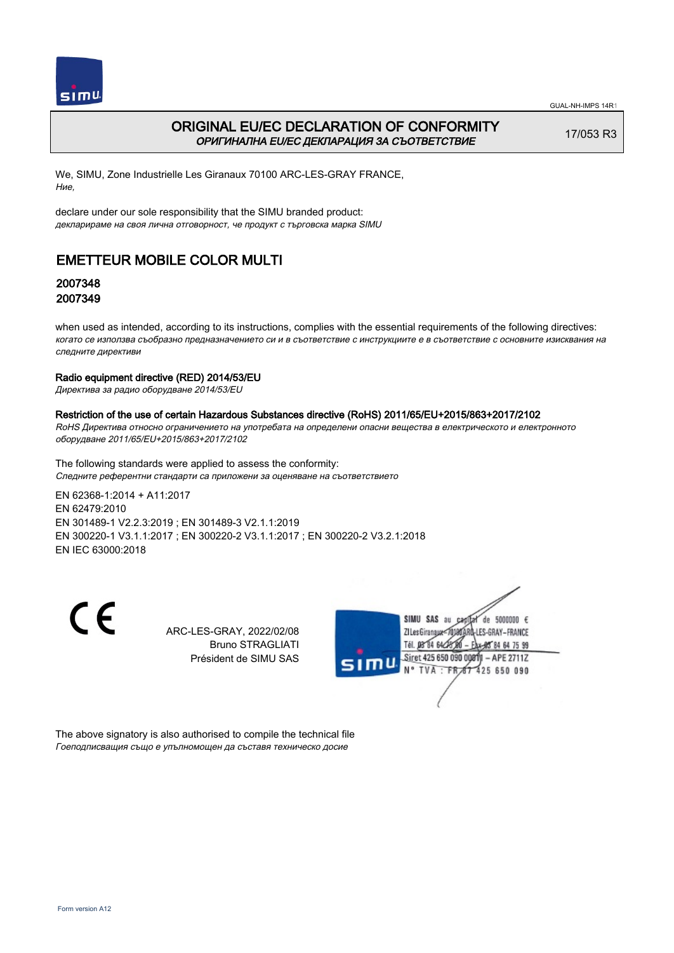

# ORIGINAL EU/EC DECLARATION OF CONFORMITY ОРИГИНАЛНА EU/EC ДЕКЛАРАЦИЯ ЗА СЪОТВЕТСТВИЕ

17/053 R3

We, SIMU, Zone Industrielle Les Giranaux 70100 ARC-LES-GRAY FRANCE, Ние,

declare under our sole responsibility that the SIMU branded product: декларираме на своя лична отговорност, че продукт с търговска марка SIMU

# EMETTEUR MOBILE COLOR MULTI

## 2007348 2007349

when used as intended, according to its instructions, complies with the essential requirements of the following directives: когато се използва съобразно предназначението си и в съответствие с инструкциите е в съответствие с основните изисквания на следните директиви

### Radio equipment directive (RED) 2014/53/EU

Директива за радио оборудване 2014/53/EU

### Restriction of the use of certain Hazardous Substances directive (RoHS) 2011/65/EU+2015/863+2017/2102

RoHS Директива относно ограничението на употребата на определени опасни вещества в електрическото и електронното оборудване 2011/65/EU+2015/863+2017/2102

The following standards were applied to assess the conformity: Следните референтни стандарти са приложени за оценяване на съответствието

EN 62368‑1:2014 + A11:2017 EN 62479:2010 EN 301489‑1 V2.2.3:2019 ; EN 301489‑3 V2.1.1:2019 EN 300220‑1 V3.1.1:2017 ; EN 300220‑2 V3.1.1:2017 ; EN 300220‑2 V3.2.1:2018 EN IEC 63000:2018

CE

ARC-LES-GRAY, 2022/02/08 Bruno STRAGLIATI Président de SIMU SAS



The above signatory is also authorised to compile the technical file Гоеподписващия също е упълномощен да съставя техническо досие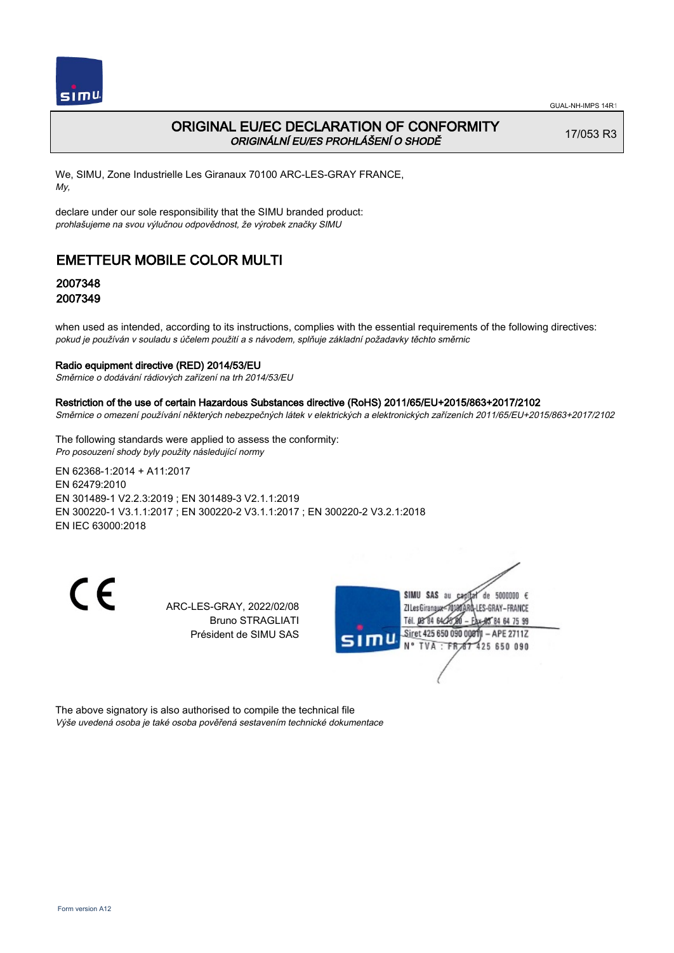

# ORIGINAL EU/EC DECLARATION OF CONFORMITY ORIGINÁLNÍ EU/ES PROHLÁŠENÍ O SHODĚ

17/053 R3

We, SIMU, Zone Industrielle Les Giranaux 70100 ARC-LES-GRAY FRANCE, My,

declare under our sole responsibility that the SIMU branded product: prohlašujeme na svou výlučnou odpovědnost, že výrobek značky SIMU

# EMETTEUR MOBILE COLOR MULTI

## 2007348 2007349

when used as intended, according to its instructions, complies with the essential requirements of the following directives: pokud je používán v souladu s účelem použití a s návodem, splňuje základní požadavky těchto směrnic

### Radio equipment directive (RED) 2014/53/EU

Směrnice o dodávání rádiových zařízení na trh 2014/53/EU

#### Restriction of the use of certain Hazardous Substances directive (RoHS) 2011/65/EU+2015/863+2017/2102

Směrnice o omezení používání některých nebezpečných látek v elektrických a elektronických zařízeních 2011/65/EU+2015/863+2017/2102

The following standards were applied to assess the conformity: Pro posouzení shody byly použity následující normy

EN 62368‑1:2014 + A11:2017 EN 62479:2010 EN 301489‑1 V2.2.3:2019 ; EN 301489‑3 V2.1.1:2019 EN 300220‑1 V3.1.1:2017 ; EN 300220‑2 V3.1.1:2017 ; EN 300220‑2 V3.2.1:2018 EN IEC 63000:2018

CE

ARC-LES-GRAY, 2022/02/08 Bruno STRAGLIATI Président de SIMU SAS



The above signatory is also authorised to compile the technical file Výše uvedená osoba je také osoba pověřená sestavením technické dokumentace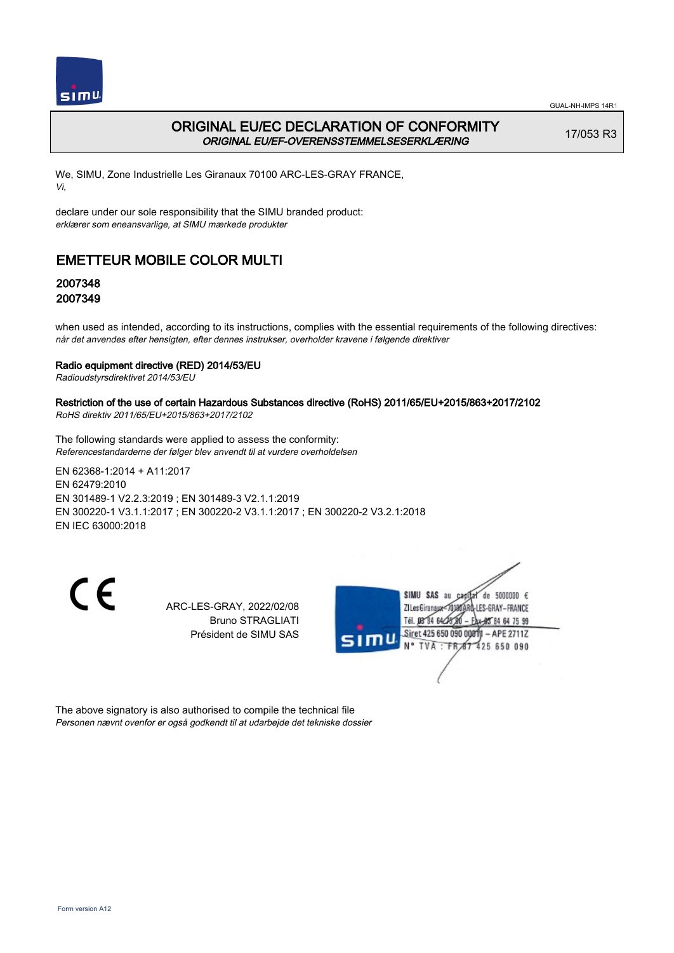

# ORIGINAL EU/EC DECLARATION OF CONFORMITY ORIGINAL EU/EF-OVERENSSTEMMELSESERKLÆRING

17/053 R3

We, SIMU, Zone Industrielle Les Giranaux 70100 ARC-LES-GRAY FRANCE, Vi,

declare under our sole responsibility that the SIMU branded product: erklærer som eneansvarlige, at SIMU mærkede produkter

# EMETTEUR MOBILE COLOR MULTI

## 2007348 2007349

when used as intended, according to its instructions, complies with the essential requirements of the following directives: når det anvendes efter hensigten, efter dennes instrukser, overholder kravene i følgende direktiver

### Radio equipment directive (RED) 2014/53/EU

Radioudstyrsdirektivet 2014/53/EU

## Restriction of the use of certain Hazardous Substances directive (RoHS) 2011/65/EU+2015/863+2017/2102

RoHS direktiv 2011/65/EU+2015/863+2017/2102

The following standards were applied to assess the conformity: Referencestandarderne der følger blev anvendt til at vurdere overholdelsen

EN 62368‑1:2014 + A11:2017 EN 62479:2010 EN 301489‑1 V2.2.3:2019 ; EN 301489‑3 V2.1.1:2019 EN 300220‑1 V3.1.1:2017 ; EN 300220‑2 V3.1.1:2017 ; EN 300220‑2 V3.2.1:2018 EN IEC 63000:2018

CE

ARC-LES-GRAY, 2022/02/08 Bruno STRAGLIATI Président de SIMU SAS



The above signatory is also authorised to compile the technical file Personen nævnt ovenfor er også godkendt til at udarbejde det tekniske dossier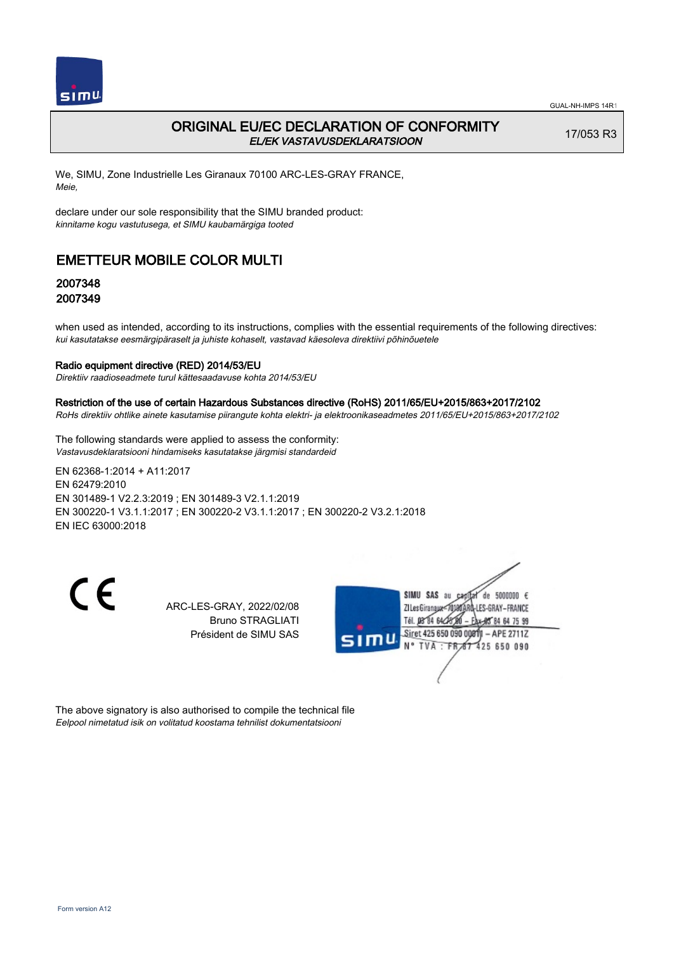

# ORIGINAL EU/EC DECLARATION OF CONFORMITY EL/EK VASTAVUSDEKLARATSIOON

17/053 R3

We, SIMU, Zone Industrielle Les Giranaux 70100 ARC-LES-GRAY FRANCE, Meie,

declare under our sole responsibility that the SIMU branded product: kinnitame kogu vastutusega, et SIMU kaubamärgiga tooted

# EMETTEUR MOBILE COLOR MULTI

## 2007348 2007349

when used as intended, according to its instructions, complies with the essential requirements of the following directives: kui kasutatakse eesmärgipäraselt ja juhiste kohaselt, vastavad käesoleva direktiivi põhinõuetele

#### Radio equipment directive (RED) 2014/53/EU

Direktiiv raadioseadmete turul kättesaadavuse kohta 2014/53/EU

#### Restriction of the use of certain Hazardous Substances directive (RoHS) 2011/65/EU+2015/863+2017/2102

RoHs direktiiv ohtlike ainete kasutamise piirangute kohta elektri- ja elektroonikaseadmetes 2011/65/EU+2015/863+2017/2102

The following standards were applied to assess the conformity: Vastavusdeklaratsiooni hindamiseks kasutatakse järgmisi standardeid

EN 62368‑1:2014 + A11:2017 EN 62479:2010 EN 301489‑1 V2.2.3:2019 ; EN 301489‑3 V2.1.1:2019 EN 300220‑1 V3.1.1:2017 ; EN 300220‑2 V3.1.1:2017 ; EN 300220‑2 V3.2.1:2018 EN IEC 63000:2018

CE

ARC-LES-GRAY, 2022/02/08 Bruno STRAGLIATI Président de SIMU SAS



The above signatory is also authorised to compile the technical file Eelpool nimetatud isik on volitatud koostama tehnilist dokumentatsiooni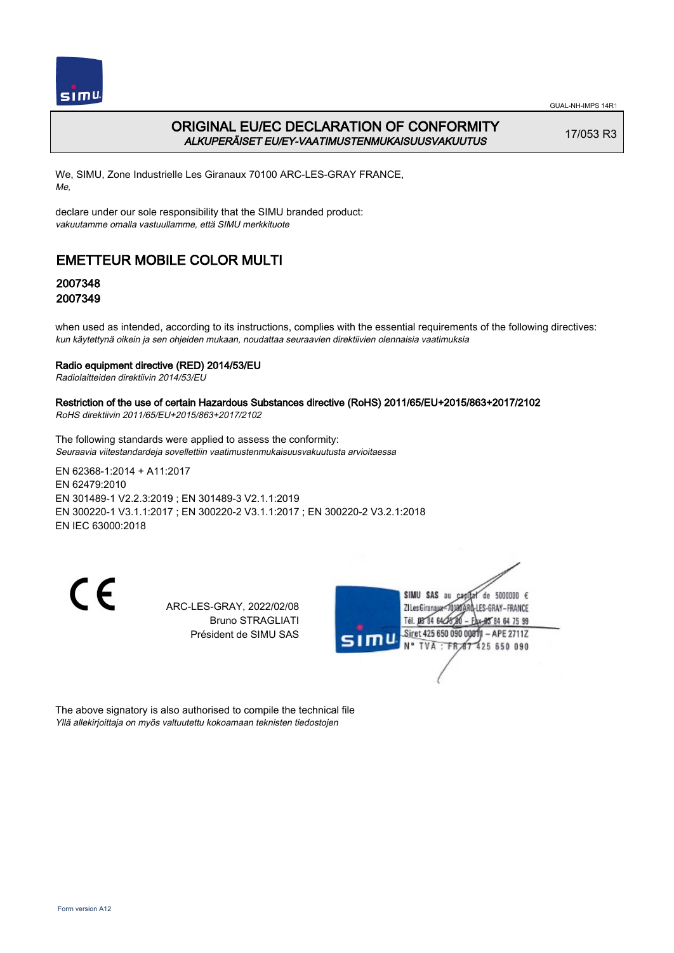

# ORIGINAL EU/EC DECLARATION OF CONFORMITY ALKUPERÄISET EU/EY-VAATIMUSTENMUKAISUUSVAKUUTUS

17/053 R3

We, SIMU, Zone Industrielle Les Giranaux 70100 ARC-LES-GRAY FRANCE, Me,

declare under our sole responsibility that the SIMU branded product: vakuutamme omalla vastuullamme, että SIMU merkkituote

# EMETTEUR MOBILE COLOR MULTI

# 2007348 2007349

when used as intended, according to its instructions, complies with the essential requirements of the following directives: kun käytettynä oikein ja sen ohjeiden mukaan, noudattaa seuraavien direktiivien olennaisia vaatimuksia

### Radio equipment directive (RED) 2014/53/EU

Radiolaitteiden direktiivin 2014/53/EU

### Restriction of the use of certain Hazardous Substances directive (RoHS) 2011/65/EU+2015/863+2017/2102

RoHS direktiivin 2011/65/EU+2015/863+2017/2102

The following standards were applied to assess the conformity: Seuraavia viitestandardeja sovellettiin vaatimustenmukaisuusvakuutusta arvioitaessa

EN 62368‑1:2014 + A11:2017 EN 62479:2010 EN 301489‑1 V2.2.3:2019 ; EN 301489‑3 V2.1.1:2019 EN 300220‑1 V3.1.1:2017 ; EN 300220‑2 V3.1.1:2017 ; EN 300220‑2 V3.2.1:2018 EN IEC 63000:2018

CE

ARC-LES-GRAY, 2022/02/08 Bruno STRAGLIATI Président de SIMU SAS



The above signatory is also authorised to compile the technical file Yllä allekirjoittaja on myös valtuutettu kokoamaan teknisten tiedostojen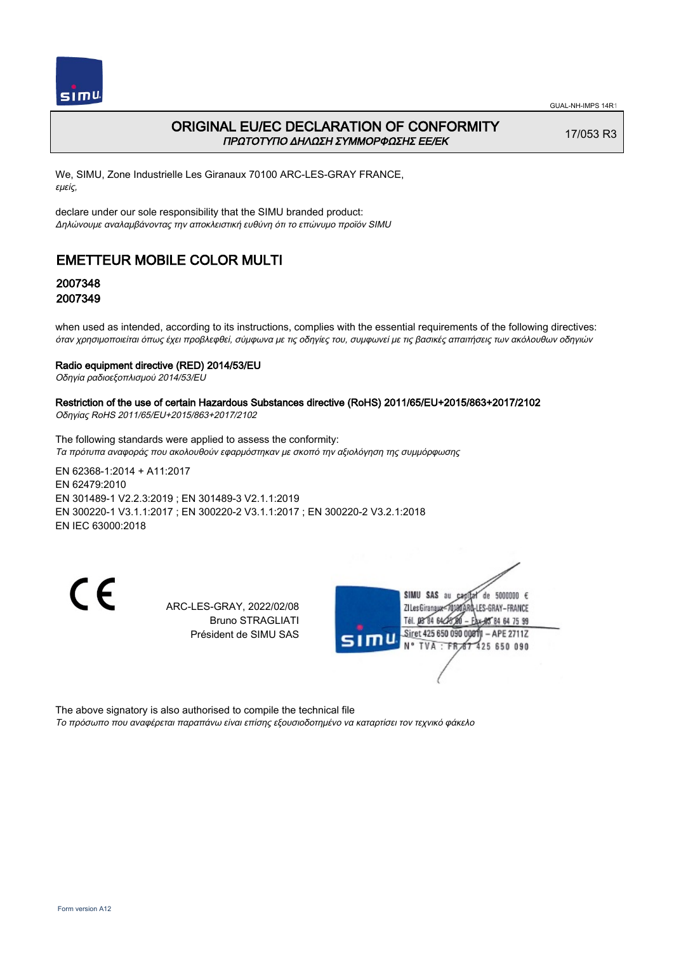

## ORIGINAL EU/EC DECLARATION OF CONFORMITY ΠΡΩΤΟΤΥΠΟ ΔΗΛΩΣΗ ΣΥΜΜΟΡΦΩΣΗΣ ΕΕ/EK

17/053 R3

We, SIMU, Zone Industrielle Les Giranaux 70100 ARC-LES-GRAY FRANCE, εμείς,

declare under our sole responsibility that the SIMU branded product: Δηλώνουμε αναλαμβάνοντας την αποκλειστική ευθύνη ότι το επώνυμο προϊόν SIMU

# EMETTEUR MOBILE COLOR MULTI

## 2007348 2007349

when used as intended, according to its instructions, complies with the essential requirements of the following directives: όταν χρησιμοποιείται όπως έχει προβλεφθεί, σύμφωνα με τις οδηγίες του, συμφωνεί με τις βασικές απαιτήσεις των ακόλουθων οδηγιών

#### Radio equipment directive (RED) 2014/53/EU

Οδηγία ραδιοεξοπλισμού 2014/53/EU

# Restriction of the use of certain Hazardous Substances directive (RoHS) 2011/65/EU+2015/863+2017/2102

Οδηγίας RoHS 2011/65/EU+2015/863+2017/2102

The following standards were applied to assess the conformity: Τα πρότυπα αναφοράς που ακολουθούν εφαρμόστηκαν με σκοπό την αξιολόγηση της συμμόρφωσης

EN 62368‑1:2014 + A11:2017 EN 62479:2010 EN 301489‑1 V2.2.3:2019 ; EN 301489‑3 V2.1.1:2019 EN 300220‑1 V3.1.1:2017 ; EN 300220‑2 V3.1.1:2017 ; EN 300220‑2 V3.2.1:2018 EN IEC 63000:2018

CE

ARC-LES-GRAY, 2022/02/08 Bruno STRAGLIATI Président de SIMU SAS



The above signatory is also authorised to compile the technical file Το πρόσωπο που αναφέρεται παραπάνω είναι επίσης εξουσιοδοτημένο να καταρτίσει τον τεχνικό φάκελο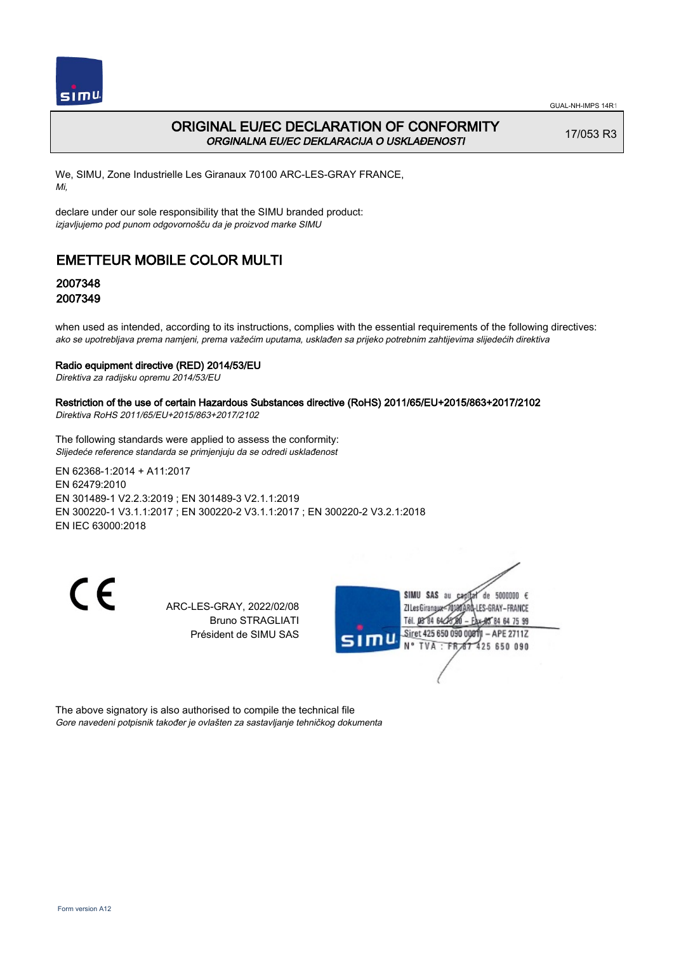

# ORIGINAL EU/EC DECLARATION OF CONFORMITY ORGINALNA EU/EC DEKLARACIJA O USKLAĐENOSTI

17/053 R3

We, SIMU, Zone Industrielle Les Giranaux 70100 ARC-LES-GRAY FRANCE, Mi,

declare under our sole responsibility that the SIMU branded product: izjavljujemo pod punom odgovornošču da je proizvod marke SIMU

# EMETTEUR MOBILE COLOR MULTI

# 2007348 2007349

when used as intended, according to its instructions, complies with the essential requirements of the following directives: ako se upotrebljava prema namjeni, prema važećim uputama, usklađen sa prijeko potrebnim zahtijevima slijedećih direktiva

### Radio equipment directive (RED) 2014/53/EU

Direktiva za radijsku opremu 2014/53/EU

### Restriction of the use of certain Hazardous Substances directive (RoHS) 2011/65/EU+2015/863+2017/2102

Direktiva RoHS 2011/65/EU+2015/863+2017/2102

The following standards were applied to assess the conformity: Slijedeće reference standarda se primjenjuju da se odredi usklađenost

EN 62368‑1:2014 + A11:2017 EN 62479:2010 EN 301489‑1 V2.2.3:2019 ; EN 301489‑3 V2.1.1:2019 EN 300220‑1 V3.1.1:2017 ; EN 300220‑2 V3.1.1:2017 ; EN 300220‑2 V3.2.1:2018 EN IEC 63000:2018

CE

ARC-LES-GRAY, 2022/02/08 Bruno STRAGLIATI Président de SIMU SAS



The above signatory is also authorised to compile the technical file Gore navedeni potpisnik također je ovlašten za sastavljanje tehničkog dokumenta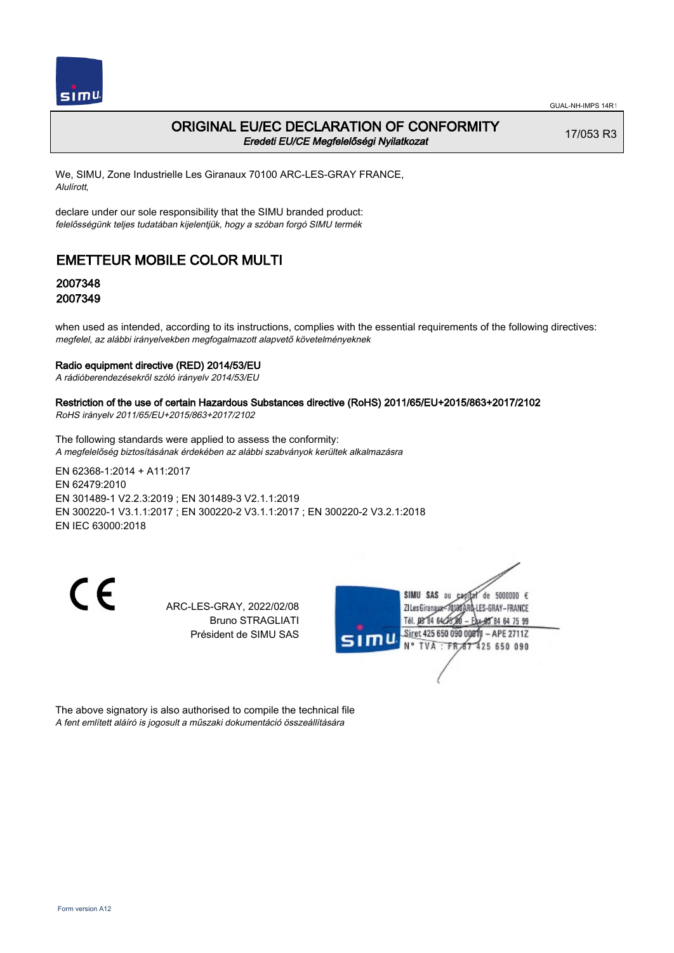

## ORIGINAL EU/EC DECLARATION OF CONFORMITY Eredeti EU/CE Megfelelőségi Nyilatkozat

17/053 R3

We, SIMU, Zone Industrielle Les Giranaux 70100 ARC-LES-GRAY FRANCE, Alulírott,

declare under our sole responsibility that the SIMU branded product: felelősségünk teljes tudatában kijelentjük, hogy a szóban forgó SIMU termék

# EMETTEUR MOBILE COLOR MULTI

## 2007348 2007349

when used as intended, according to its instructions, complies with the essential requirements of the following directives: megfelel, az alábbi irányelvekben megfogalmazott alapvető követelményeknek

#### Radio equipment directive (RED) 2014/53/EU

A rádióberendezésekről szóló irányelv 2014/53/EU

### Restriction of the use of certain Hazardous Substances directive (RoHS) 2011/65/EU+2015/863+2017/2102

RoHS irányelv 2011/65/EU+2015/863+2017/2102

The following standards were applied to assess the conformity: A megfelelőség biztosításának érdekében az alábbi szabványok kerültek alkalmazásra

EN 62368‑1:2014 + A11:2017 EN 62479:2010 EN 301489‑1 V2.2.3:2019 ; EN 301489‑3 V2.1.1:2019 EN 300220‑1 V3.1.1:2017 ; EN 300220‑2 V3.1.1:2017 ; EN 300220‑2 V3.2.1:2018 EN IEC 63000:2018

CE

ARC-LES-GRAY, 2022/02/08 Bruno STRAGLIATI Président de SIMU SAS



The above signatory is also authorised to compile the technical file A fent említett aláíró is jogosult a műszaki dokumentáció összeállítására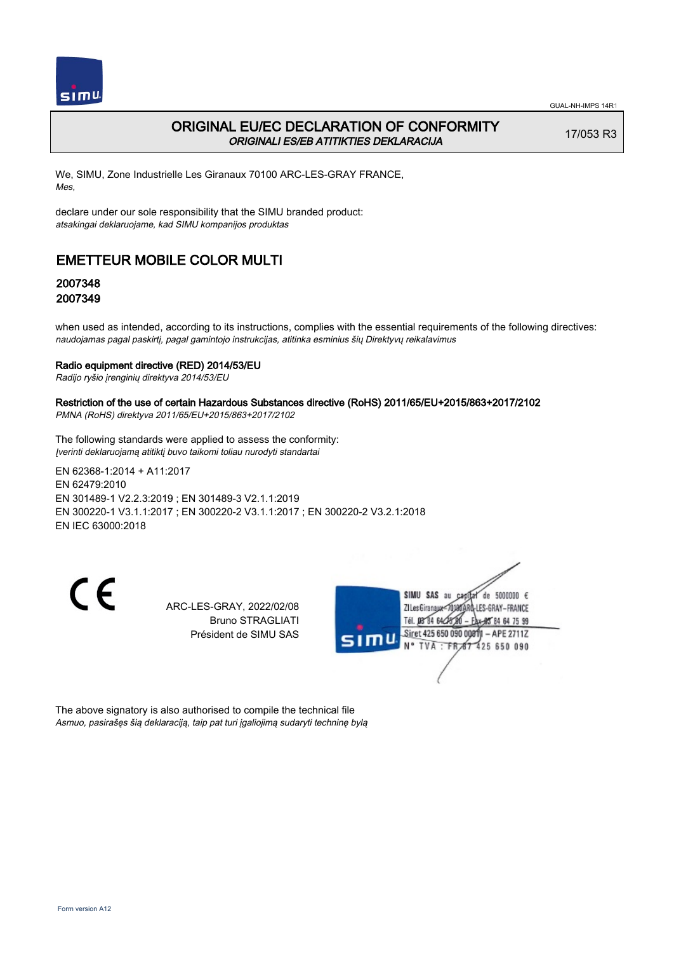

## ORIGINAL EU/EC DECLARATION OF CONFORMITY ORIGINALI ES/EB ATITIKTIES DEKLARACIJA

17/053 R3

We, SIMU, Zone Industrielle Les Giranaux 70100 ARC-LES-GRAY FRANCE, Mes,

declare under our sole responsibility that the SIMU branded product: atsakingai deklaruojame, kad SIMU kompanijos produktas

# EMETTEUR MOBILE COLOR MULTI

## 2007348 2007349

when used as intended, according to its instructions, complies with the essential requirements of the following directives: naudojamas pagal paskirtį, pagal gamintojo instrukcijas, atitinka esminius šių Direktyvų reikalavimus

#### Radio equipment directive (RED) 2014/53/EU

Radijo ryšio įrenginių direktyva 2014/53/EU

### Restriction of the use of certain Hazardous Substances directive (RoHS) 2011/65/EU+2015/863+2017/2102

PMNA (RoHS) direktyva 2011/65/EU+2015/863+2017/2102

The following standards were applied to assess the conformity: Įverinti deklaruojamą atitiktį buvo taikomi toliau nurodyti standartai

EN 62368‑1:2014 + A11:2017 EN 62479:2010 EN 301489‑1 V2.2.3:2019 ; EN 301489‑3 V2.1.1:2019 EN 300220‑1 V3.1.1:2017 ; EN 300220‑2 V3.1.1:2017 ; EN 300220‑2 V3.2.1:2018 EN IEC 63000:2018

CE

ARC-LES-GRAY, 2022/02/08 Bruno STRAGLIATI Président de SIMU SAS



The above signatory is also authorised to compile the technical file Asmuo, pasirašęs šią deklaraciją, taip pat turi įgaliojimą sudaryti techninę bylą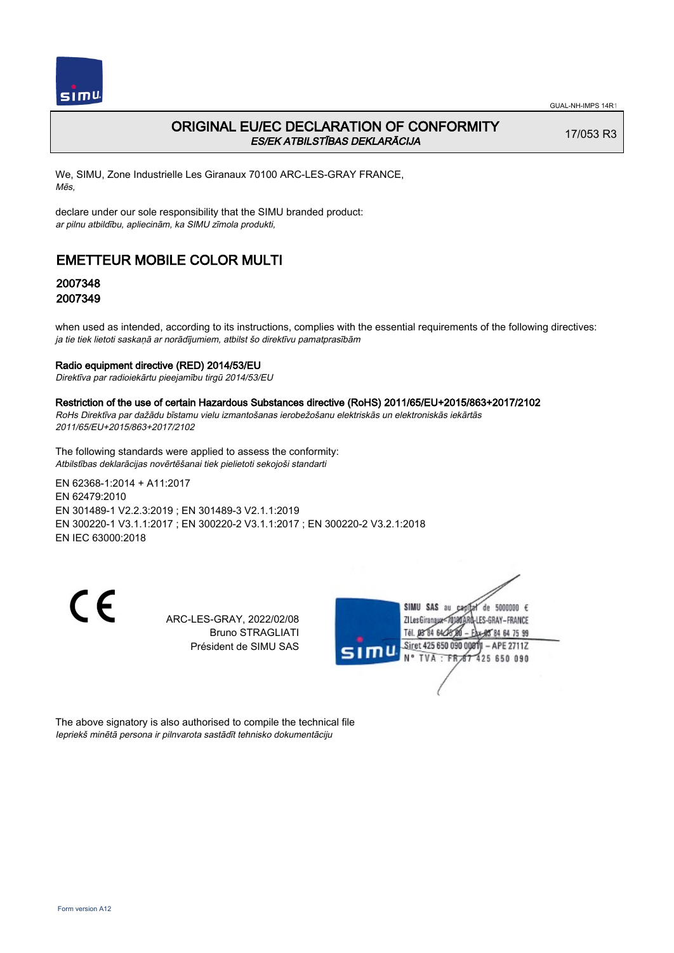

# ORIGINAL EU/EC DECLARATION OF CONFORMITY ES/EK ATBILSTĪBAS DEKLARĀCIJA

17/053 R3

We, SIMU, Zone Industrielle Les Giranaux 70100 ARC-LES-GRAY FRANCE, Mēs,

declare under our sole responsibility that the SIMU branded product: ar pilnu atbildību, apliecinām, ka SIMU zīmola produkti,

# EMETTEUR MOBILE COLOR MULTI

## 2007348 2007349

when used as intended, according to its instructions, complies with the essential requirements of the following directives: ja tie tiek lietoti saskaņā ar norādījumiem, atbilst šo direktīvu pamatprasībām

### Radio equipment directive (RED) 2014/53/EU

Direktīva par radioiekārtu pieejamību tirgū 2014/53/EU

#### Restriction of the use of certain Hazardous Substances directive (RoHS) 2011/65/EU+2015/863+2017/2102

RoHs Direktīva par dažādu bīstamu vielu izmantošanas ierobežošanu elektriskās un elektroniskās iekārtās 2011/65/EU+2015/863+2017/2102

The following standards were applied to assess the conformity: Atbilstības deklarācijas novērtēšanai tiek pielietoti sekojoši standarti

EN 62368‑1:2014 + A11:2017 EN 62479:2010 EN 301489‑1 V2.2.3:2019 ; EN 301489‑3 V2.1.1:2019 EN 300220‑1 V3.1.1:2017 ; EN 300220‑2 V3.1.1:2017 ; EN 300220‑2 V3.2.1:2018 EN IEC 63000:2018

 $\epsilon$ 

ARC-LES-GRAY, 2022/02/08 Bruno STRAGLIATI Président de SIMU SAS



The above signatory is also authorised to compile the technical file Iepriekš minētā persona ir pilnvarota sastādīt tehnisko dokumentāciju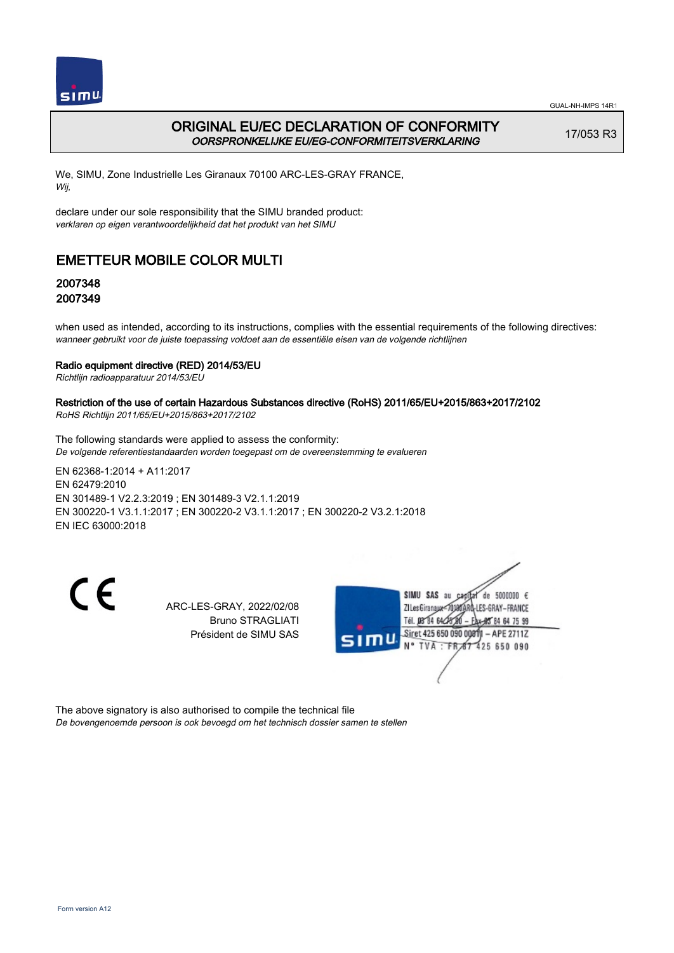

# ORIGINAL EU/EC DECLARATION OF CONFORMITY OORSPRONKELIJKE EU/EG-CONFORMITEITSVERKLARING

17/053 R3

We, SIMU, Zone Industrielle Les Giranaux 70100 ARC-LES-GRAY FRANCE, Wij,

declare under our sole responsibility that the SIMU branded product: verklaren op eigen verantwoordelijkheid dat het produkt van het SIMU

# EMETTEUR MOBILE COLOR MULTI

## 2007348 2007349

when used as intended, according to its instructions, complies with the essential requirements of the following directives: wanneer gebruikt voor de juiste toepassing voldoet aan de essentiële eisen van de volgende richtlijnen

### Radio equipment directive (RED) 2014/53/EU

Richtlijn radioapparatuur 2014/53/EU

# Restriction of the use of certain Hazardous Substances directive (RoHS) 2011/65/EU+2015/863+2017/2102

RoHS Richtlijn 2011/65/EU+2015/863+2017/2102

The following standards were applied to assess the conformity: De volgende referentiestandaarden worden toegepast om de overeenstemming te evalueren

EN 62368‑1:2014 + A11:2017 EN 62479:2010 EN 301489‑1 V2.2.3:2019 ; EN 301489‑3 V2.1.1:2019 EN 300220‑1 V3.1.1:2017 ; EN 300220‑2 V3.1.1:2017 ; EN 300220‑2 V3.2.1:2018 EN IEC 63000:2018

CE

ARC-LES-GRAY, 2022/02/08 Bruno STRAGLIATI Président de SIMU SAS



The above signatory is also authorised to compile the technical file De bovengenoemde persoon is ook bevoegd om het technisch dossier samen te stellen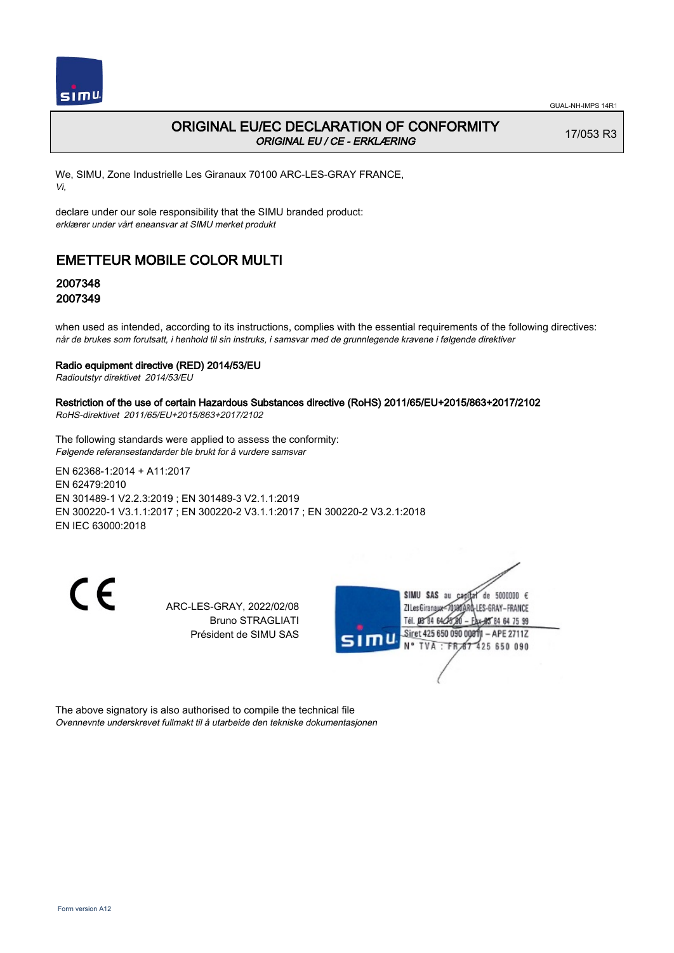

## ORIGINAL EU/EC DECLARATION OF CONFORMITY ORIGINAL EU / CE - ERKLÆRING

17/053 R3

We, SIMU, Zone Industrielle Les Giranaux 70100 ARC-LES-GRAY FRANCE, Vi,

declare under our sole responsibility that the SIMU branded product: erklærer under vårt eneansvar at SIMU merket produkt

# EMETTEUR MOBILE COLOR MULTI

## 2007348 2007349

when used as intended, according to its instructions, complies with the essential requirements of the following directives: når de brukes som forutsatt, i henhold til sin instruks, i samsvar med de grunnlegende kravene i følgende direktiver

### Radio equipment directive (RED) 2014/53/EU

Radioutstyr direktivet 2014/53/EU

### Restriction of the use of certain Hazardous Substances directive (RoHS) 2011/65/EU+2015/863+2017/2102

RoHS-direktivet 2011/65/EU+2015/863+2017/2102

The following standards were applied to assess the conformity: Følgende referansestandarder ble brukt for å vurdere samsvar

EN 62368‑1:2014 + A11:2017 EN 62479:2010 EN 301489‑1 V2.2.3:2019 ; EN 301489‑3 V2.1.1:2019 EN 300220‑1 V3.1.1:2017 ; EN 300220‑2 V3.1.1:2017 ; EN 300220‑2 V3.2.1:2018 EN IEC 63000:2018

CE

ARC-LES-GRAY, 2022/02/08 Bruno STRAGLIATI Président de SIMU SAS



The above signatory is also authorised to compile the technical file Ovennevnte underskrevet fullmakt til å utarbeide den tekniske dokumentasjonen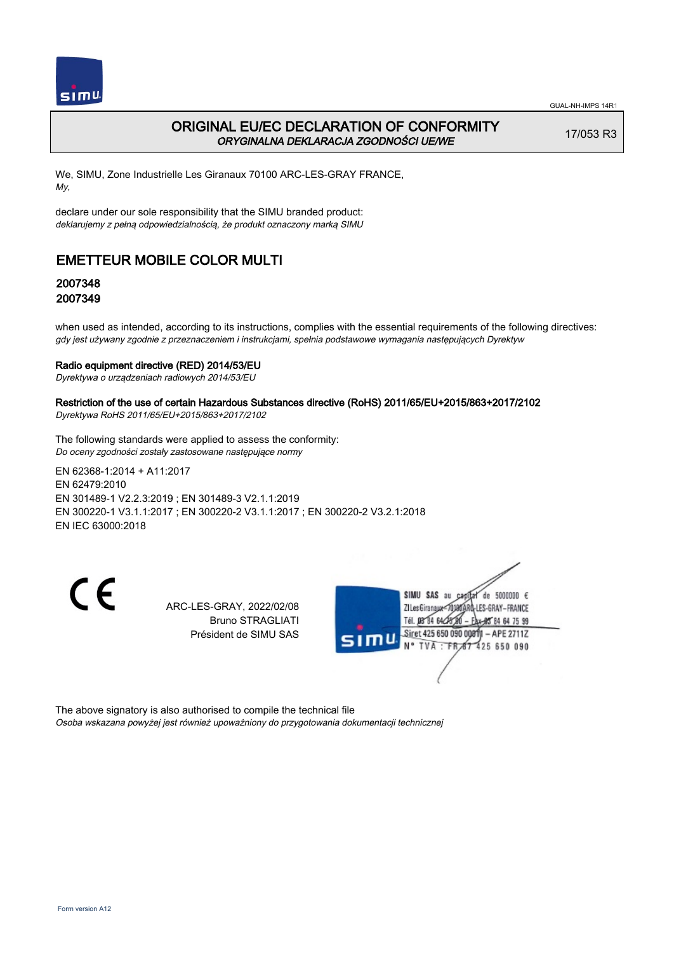

# ORIGINAL EU/EC DECLARATION OF CONFORMITY ORYGINALNA DEKLARACJA ZGODNOŚCI UE/WE

17/053 R3

We, SIMU, Zone Industrielle Les Giranaux 70100 ARC-LES-GRAY FRANCE, My,

declare under our sole responsibility that the SIMU branded product: deklarujemy z pełną odpowiedzialnością, że produkt oznaczony marką SIMU

# EMETTEUR MOBILE COLOR MULTI

# 2007348 2007349

when used as intended, according to its instructions, complies with the essential requirements of the following directives: gdy jest używany zgodnie z przeznaczeniem i instrukcjami, spełnia podstawowe wymagania następujących Dyrektyw

### Radio equipment directive (RED) 2014/53/EU

Dyrektywa o urządzeniach radiowych 2014/53/EU

### Restriction of the use of certain Hazardous Substances directive (RoHS) 2011/65/EU+2015/863+2017/2102

Dyrektywa RoHS 2011/65/EU+2015/863+2017/2102

The following standards were applied to assess the conformity: Do oceny zgodności zostały zastosowane następujące normy

EN 62368‑1:2014 + A11:2017 EN 62479:2010 EN 301489‑1 V2.2.3:2019 ; EN 301489‑3 V2.1.1:2019 EN 300220‑1 V3.1.1:2017 ; EN 300220‑2 V3.1.1:2017 ; EN 300220‑2 V3.2.1:2018 EN IEC 63000:2018

CE

ARC-LES-GRAY, 2022/02/08 Bruno STRAGLIATI Président de SIMU SAS



The above signatory is also authorised to compile the technical file Osoba wskazana powyżej jest również upoważniony do przygotowania dokumentacji technicznej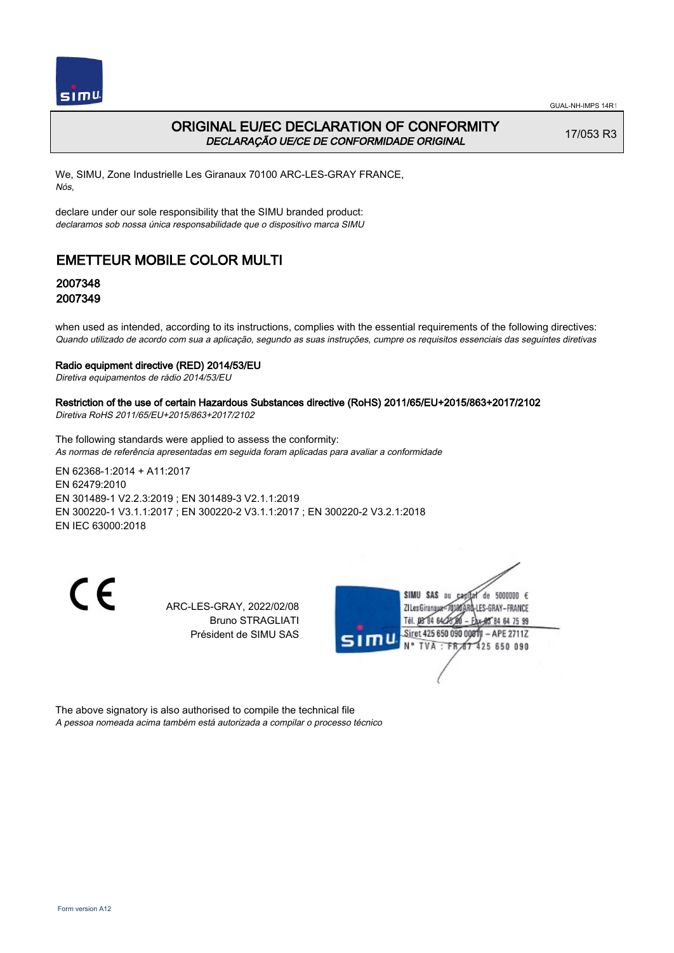

## ORIGINAL EU/EC DECLARATION OF CONFORMITY DECLARAÇÃO UE/CE DE CONFORMIDADE ORIGINAL

17/053 R3

We, SIMU, Zone Industrielle Les Giranaux 70100 ARC-LES-GRAY FRANCE, Nós,

declare under our sole responsibility that the SIMU branded product: declaramos sob nossa única responsabilidade que o dispositivo marca SIMU

# EMETTEUR MOBILE COLOR MULTI

## 2007348 2007349

when used as intended, according to its instructions, complies with the essential requirements of the following directives: Quando utilizado de acordo com sua a aplicação, segundo as suas instruções, cumpre os requisitos essenciais das seguintes diretivas

#### Radio equipment directive (RED) 2014/53/EU

Diretiva equipamentos de rádio 2014/53/EU

# Restriction of the use of certain Hazardous Substances directive (RoHS) 2011/65/EU+2015/863+2017/2102

Diretiva RoHS 2011/65/EU+2015/863+2017/2102

The following standards were applied to assess the conformity: As normas de referência apresentadas em seguida foram aplicadas para avaliar a conformidade

EN 62368‑1:2014 + A11:2017 EN 62479:2010 EN 301489‑1 V2.2.3:2019 ; EN 301489‑3 V2.1.1:2019 EN 300220‑1 V3.1.1:2017 ; EN 300220‑2 V3.1.1:2017 ; EN 300220‑2 V3.2.1:2018 EN IEC 63000:2018

CE

ARC-LES-GRAY, 2022/02/08 Bruno STRAGLIATI Président de SIMU SAS



The above signatory is also authorised to compile the technical file A pessoa nomeada acima também está autorizada a compilar o processo técnico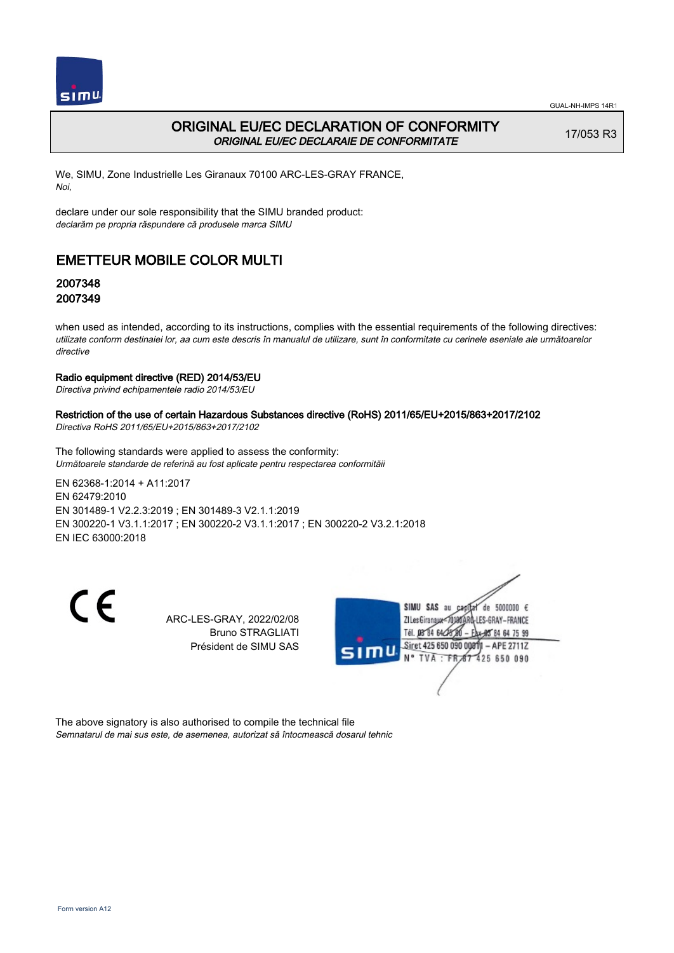

# ORIGINAL EU/EC DECLARATION OF CONFORMITY ORIGINAL EU/EC DECLARAIE DE CONFORMITATE

17/053 R3

We, SIMU, Zone Industrielle Les Giranaux 70100 ARC-LES-GRAY FRANCE, Noi,

declare under our sole responsibility that the SIMU branded product: declarăm pe propria răspundere că produsele marca SIMU

# EMETTEUR MOBILE COLOR MULTI

# 2007348 2007349

when used as intended, according to its instructions, complies with the essential requirements of the following directives: utilizate conform destinaiei lor, aa cum este descris în manualul de utilizare, sunt în conformitate cu cerinele eseniale ale următoarelor directive

### Radio equipment directive (RED) 2014/53/EU

Directiva privind echipamentele radio 2014/53/EU

### Restriction of the use of certain Hazardous Substances directive (RoHS) 2011/65/EU+2015/863+2017/2102

Directiva RoHS 2011/65/EU+2015/863+2017/2102

The following standards were applied to assess the conformity: Următoarele standarde de referină au fost aplicate pentru respectarea conformităii

EN 62368‑1:2014 + A11:2017 EN 62479:2010 EN 301489‑1 V2.2.3:2019 ; EN 301489‑3 V2.1.1:2019 EN 300220‑1 V3.1.1:2017 ; EN 300220‑2 V3.1.1:2017 ; EN 300220‑2 V3.2.1:2018 EN IEC 63000:2018

 $\epsilon$ 

ARC-LES-GRAY, 2022/02/08 Bruno STRAGLIATI Président de SIMU SAS



The above signatory is also authorised to compile the technical file Semnatarul de mai sus este, de asemenea, autorizat să întocmească dosarul tehnic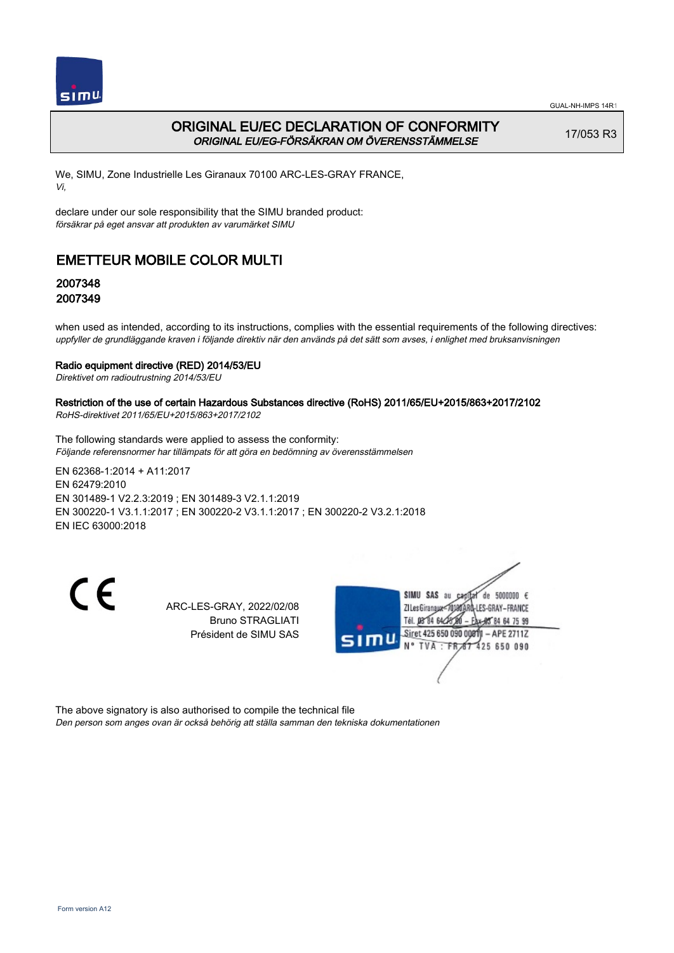

# ORIGINAL EU/EC DECLARATION OF CONFORMITY ORIGINAL EU/EG-FÖRSÄKRAN OM ÖVERENSSTÄMMELSE

17/053 R3

We, SIMU, Zone Industrielle Les Giranaux 70100 ARC-LES-GRAY FRANCE, Vi,

declare under our sole responsibility that the SIMU branded product: försäkrar på eget ansvar att produkten av varumärket SIMU

# EMETTEUR MOBILE COLOR MULTI

# 2007348 2007349

when used as intended, according to its instructions, complies with the essential requirements of the following directives: uppfyller de grundläggande kraven i följande direktiv när den används på det sätt som avses, i enlighet med bruksanvisningen

### Radio equipment directive (RED) 2014/53/EU

Direktivet om radioutrustning 2014/53/EU

## Restriction of the use of certain Hazardous Substances directive (RoHS) 2011/65/EU+2015/863+2017/2102

RoHS-direktivet 2011/65/EU+2015/863+2017/2102

The following standards were applied to assess the conformity: Följande referensnormer har tillämpats för att göra en bedömning av överensstämmelsen

EN 62368‑1:2014 + A11:2017 EN 62479:2010 EN 301489‑1 V2.2.3:2019 ; EN 301489‑3 V2.1.1:2019 EN 300220‑1 V3.1.1:2017 ; EN 300220‑2 V3.1.1:2017 ; EN 300220‑2 V3.2.1:2018 EN IEC 63000:2018

CE

ARC-LES-GRAY, 2022/02/08 Bruno STRAGLIATI Président de SIMU SAS



The above signatory is also authorised to compile the technical file Den person som anges ovan är också behörig att ställa samman den tekniska dokumentationen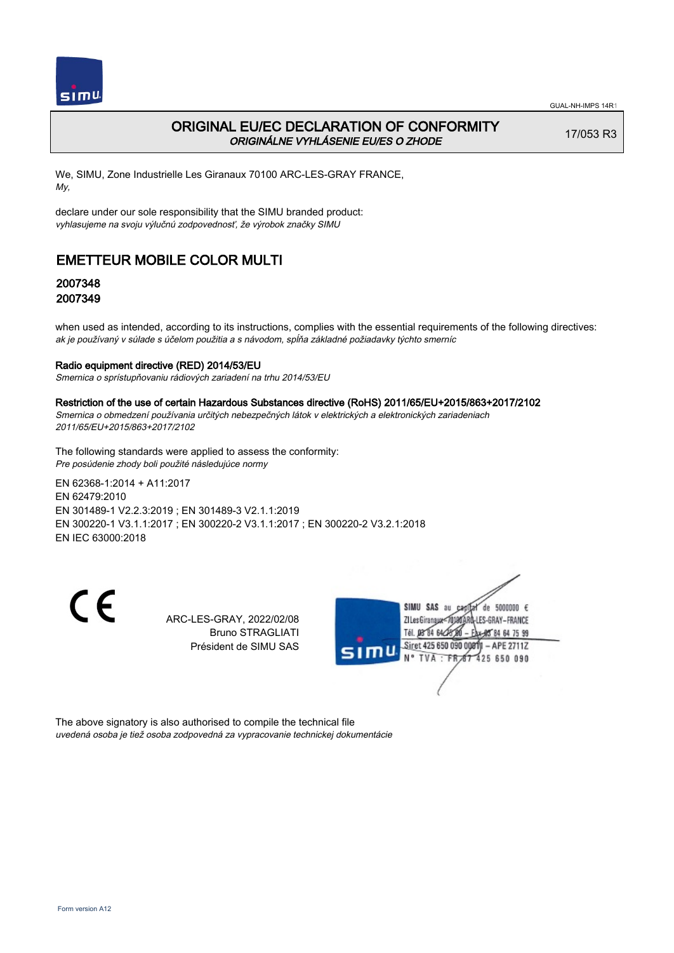

# ORIGINAL EU/EC DECLARATION OF CONFORMITY ORIGINÁLNE VYHLÁSENIE EU/ES O ZHODE

17/053 R3

We, SIMU, Zone Industrielle Les Giranaux 70100 ARC-LES-GRAY FRANCE, My,

declare under our sole responsibility that the SIMU branded product: vyhlasujeme na svoju výlučnú zodpovednosť, že výrobok značky SIMU

# EMETTEUR MOBILE COLOR MULTI

## 2007348 2007349

when used as intended, according to its instructions, complies with the essential requirements of the following directives: ak je používaný v súlade s účelom použitia a s návodom, spĺňa základné požiadavky týchto smerníc

### Radio equipment directive (RED) 2014/53/EU

Smernica o sprístupňovaniu rádiových zariadení na trhu 2014/53/EU

#### Restriction of the use of certain Hazardous Substances directive (RoHS) 2011/65/EU+2015/863+2017/2102

Smernica o obmedzení používania určitých nebezpečných látok v elektrických a elektronických zariadeniach 2011/65/EU+2015/863+2017/2102

The following standards were applied to assess the conformity: Pre posúdenie zhody boli použité následujúce normy

EN 62368‑1:2014 + A11:2017 EN 62479:2010 EN 301489‑1 V2.2.3:2019 ; EN 301489‑3 V2.1.1:2019 EN 300220‑1 V3.1.1:2017 ; EN 300220‑2 V3.1.1:2017 ; EN 300220‑2 V3.2.1:2018 EN IEC 63000:2018

 $\epsilon$ 

ARC-LES-GRAY, 2022/02/08 Bruno STRAGLIATI Président de SIMU SAS



The above signatory is also authorised to compile the technical file uvedená osoba je tiež osoba zodpovedná za vypracovanie technickej dokumentácie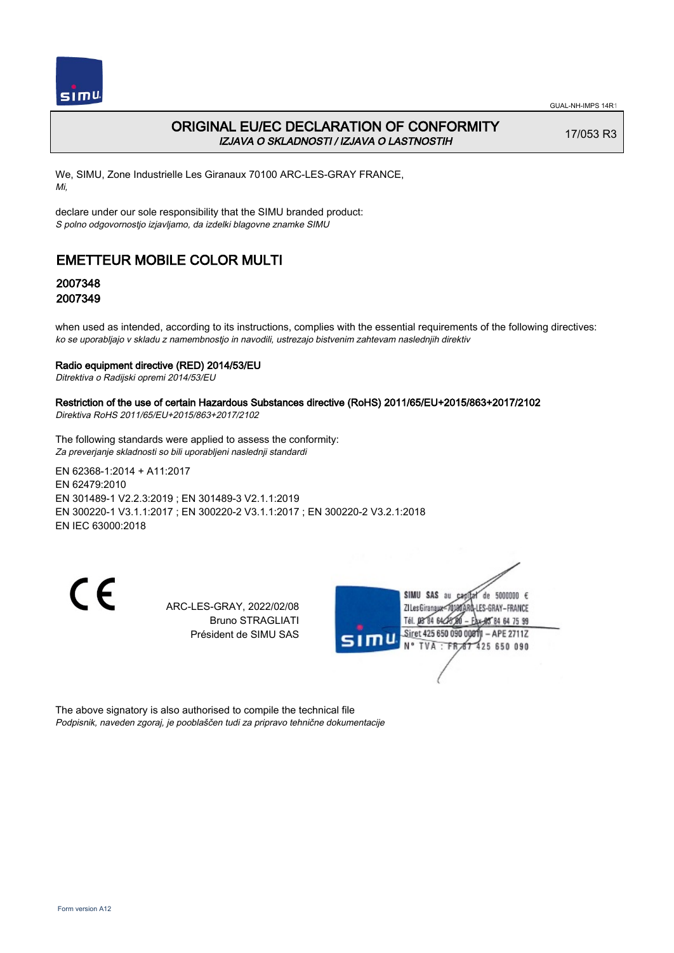

## ORIGINAL EU/EC DECLARATION OF CONFORMITY IZJAVA O SKLADNOSTI / IZJAVA O LASTNOSTIH

17/053 R3

We, SIMU, Zone Industrielle Les Giranaux 70100 ARC-LES-GRAY FRANCE, Mi,

declare under our sole responsibility that the SIMU branded product: S polno odgovornostjo izjavljamo, da izdelki blagovne znamke SIMU

# EMETTEUR MOBILE COLOR MULTI

## 2007348 2007349

when used as intended, according to its instructions, complies with the essential requirements of the following directives: ko se uporabljajo v skladu z namembnostjo in navodili, ustrezajo bistvenim zahtevam naslednjih direktiv

### Radio equipment directive (RED) 2014/53/EU

Ditrektiva o Radijski opremi 2014/53/EU

### Restriction of the use of certain Hazardous Substances directive (RoHS) 2011/65/EU+2015/863+2017/2102

Direktiva RoHS 2011/65/EU+2015/863+2017/2102

The following standards were applied to assess the conformity: Za preverjanje skladnosti so bili uporabljeni naslednji standardi

EN 62368‑1:2014 + A11:2017 EN 62479:2010 EN 301489‑1 V2.2.3:2019 ; EN 301489‑3 V2.1.1:2019 EN 300220‑1 V3.1.1:2017 ; EN 300220‑2 V3.1.1:2017 ; EN 300220‑2 V3.2.1:2018 EN IEC 63000:2018

CE

ARC-LES-GRAY, 2022/02/08 Bruno STRAGLIATI Président de SIMU SAS



The above signatory is also authorised to compile the technical file Podpisnik, naveden zgoraj, je pooblaščen tudi za pripravo tehnične dokumentacije